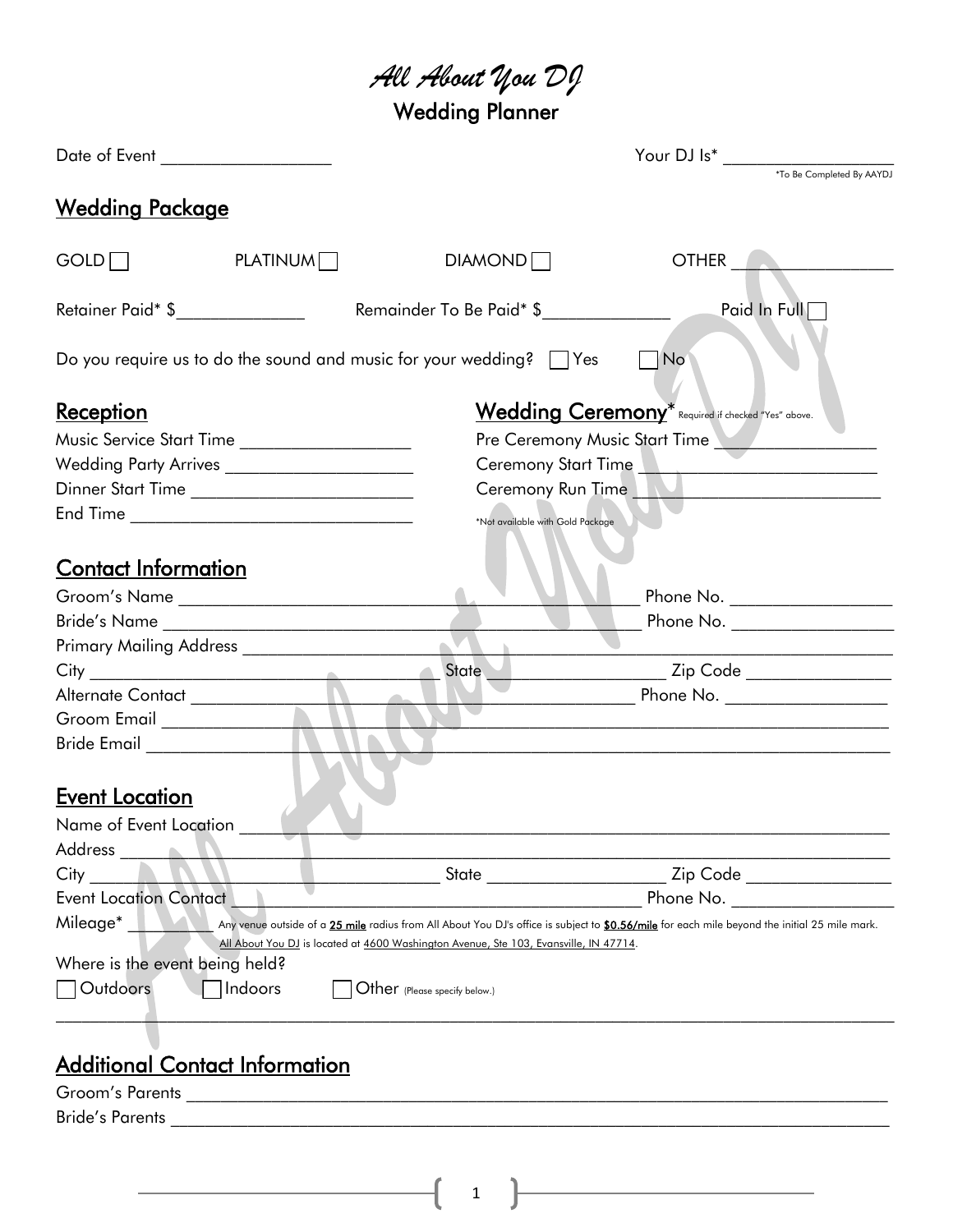# *All About You DJ* Wedding Planner

| Date of Event __________________                                                |                         |                                                                                       |                                                                                                                                               |  |
|---------------------------------------------------------------------------------|-------------------------|---------------------------------------------------------------------------------------|-----------------------------------------------------------------------------------------------------------------------------------------------|--|
|                                                                                 |                         |                                                                                       |                                                                                                                                               |  |
| <u>Wedding Package</u>                                                          |                         |                                                                                       |                                                                                                                                               |  |
| GOLD                                                                            | PLATINUM <sup>[1]</sup> | DIAMOND                                                                               | OTHER <b>ALL AND REAL PROPERTY</b>                                                                                                            |  |
| Retainer Paid* \$                                                               |                         | Remainder To Be Paid* \$                                                              | Paid In Full                                                                                                                                  |  |
| Do you require us to do the sound and music for your wedding? $\vert \vert$ Yes |                         |                                                                                       | $\blacksquare$ No                                                                                                                             |  |
| <u>Reception</u>                                                                |                         |                                                                                       | Wedding Ceremony <sup>*</sup> Required if checked "Yes" above.                                                                                |  |
| Music Service Start Time ____________________                                   |                         |                                                                                       | Pre Ceremony Music Start Time                                                                                                                 |  |
| Wedding Party Arrives ________________________                                  |                         |                                                                                       | Ceremony Start Time                                                                                                                           |  |
| Dinner Start Time ______________________________                                |                         |                                                                                       | Ceremony Run Time New Management Ceremony Run Time                                                                                            |  |
|                                                                                 |                         | *Not available with Gold Package                                                      |                                                                                                                                               |  |
| <u>Contact Information</u>                                                      |                         |                                                                                       |                                                                                                                                               |  |
|                                                                                 |                         |                                                                                       | Phone No. ____________________                                                                                                                |  |
|                                                                                 |                         |                                                                                       |                                                                                                                                               |  |
|                                                                                 |                         |                                                                                       |                                                                                                                                               |  |
|                                                                                 |                         | State __<br>$\blacksquare$                                                            | ___ Zip Code _______________                                                                                                                  |  |
| Alternate Contact _______________                                               |                         |                                                                                       | Phone No. ____________________                                                                                                                |  |
|                                                                                 |                         |                                                                                       |                                                                                                                                               |  |
| Bride Email _________________                                                   |                         |                                                                                       |                                                                                                                                               |  |
|                                                                                 |                         |                                                                                       |                                                                                                                                               |  |
| <b>Event Location</b>                                                           |                         |                                                                                       |                                                                                                                                               |  |
| Name of Event Location                                                          |                         |                                                                                       |                                                                                                                                               |  |
| Address                                                                         |                         |                                                                                       |                                                                                                                                               |  |
| City                                                                            |                         | State                                                                                 | ________________ Zip Code ________                                                                                                            |  |
| <b>Event Location Contact</b>                                                   |                         |                                                                                       | Phone No.                                                                                                                                     |  |
| Mileage*                                                                        |                         |                                                                                       | Any venue outside of a 25 mile radius from All About You DJ's office is subject to \$0.56/mile for each mile beyond the initial 25 mile mark. |  |
|                                                                                 |                         | All About You DJ is located at 4600 Washington Avenue, Ste 103, Evansville, IN 47714. |                                                                                                                                               |  |
| Where is the event being held?                                                  |                         |                                                                                       |                                                                                                                                               |  |
| Outdoors<br>Indoors                                                             |                         | $Other$ (Please specify below.)                                                       |                                                                                                                                               |  |
|                                                                                 |                         |                                                                                       |                                                                                                                                               |  |
|                                                                                 |                         |                                                                                       |                                                                                                                                               |  |
| <b>Additional Contact Information</b>                                           |                         |                                                                                       |                                                                                                                                               |  |

1

### <u>ıct Intormation</u> Groom's Parents \_\_\_\_\_\_\_\_\_\_\_\_\_\_\_\_\_\_\_\_\_\_\_\_\_\_\_\_\_\_\_\_\_\_\_\_\_\_\_\_\_\_\_\_\_\_\_\_\_\_\_\_\_\_\_\_\_\_\_\_\_\_\_\_\_\_\_\_\_\_\_\_\_\_\_\_\_\_\_\_\_\_

Bride's Parents \_\_\_\_\_\_\_\_\_\_\_\_\_\_\_\_\_\_\_\_\_\_\_\_\_\_\_\_\_\_\_\_\_\_\_\_\_\_\_\_\_\_\_\_\_\_\_\_\_\_\_\_\_\_\_\_\_\_\_\_\_\_\_\_\_\_\_\_\_\_\_\_\_\_\_\_\_\_\_\_\_\_\_\_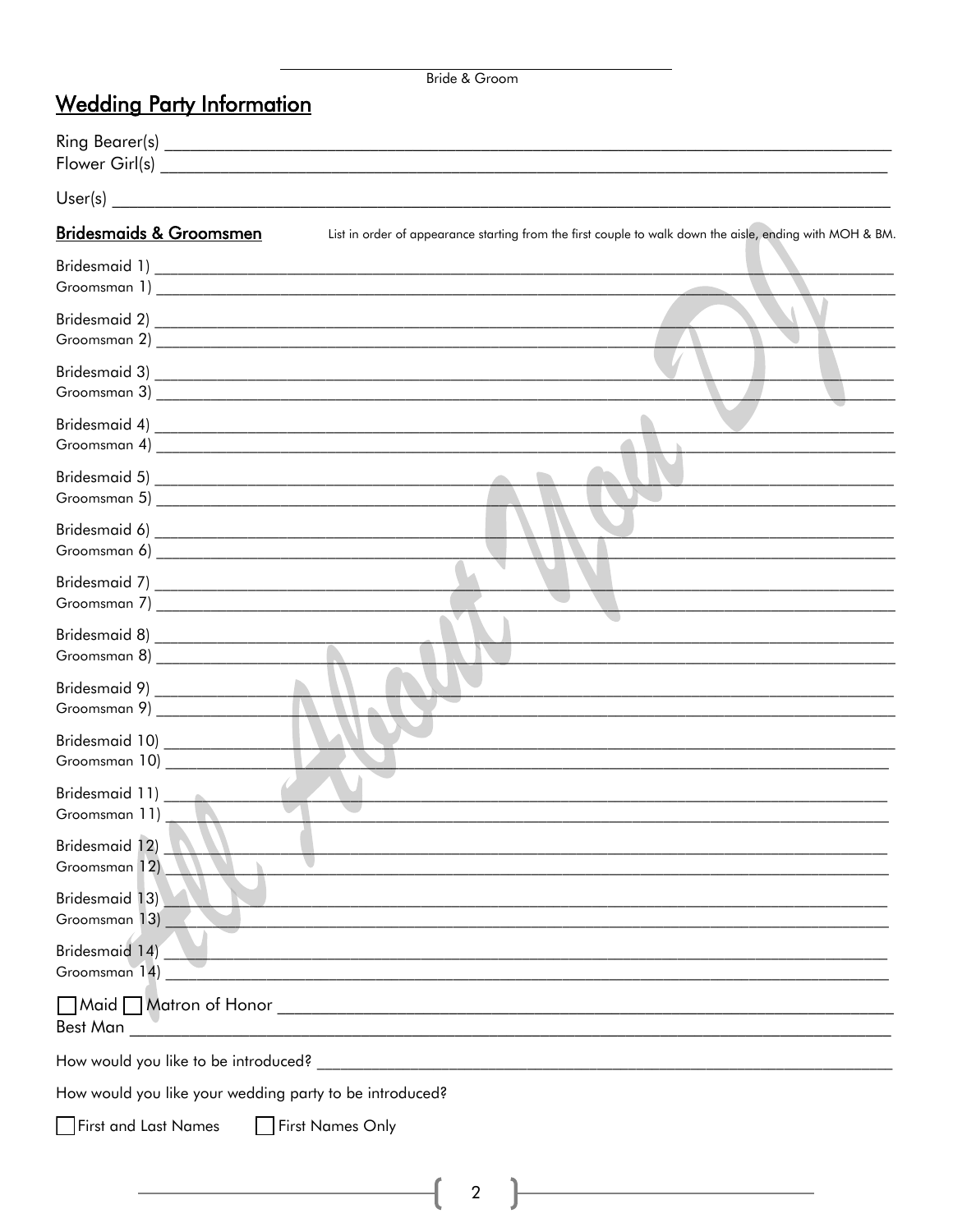#### Bride & Groom

## **Wedding Party Information**

| <b>Bridesmaids &amp; Groomsmen</b>                      | List in order of appearance starting from the first couple to walk down the aisle, ending with MOH & BM. |
|---------------------------------------------------------|----------------------------------------------------------------------------------------------------------|
|                                                         |                                                                                                          |
|                                                         |                                                                                                          |
|                                                         |                                                                                                          |
|                                                         |                                                                                                          |
|                                                         |                                                                                                          |
|                                                         |                                                                                                          |
|                                                         |                                                                                                          |
| Groomsman 8) _______________________                    |                                                                                                          |
| Groomsman 9) _________________                          |                                                                                                          |
| Bridesmaid 10) ___________________<br>Groomsman 10)     |                                                                                                          |
| Bridesmaid 11) _______________<br>Groomsman 11)         |                                                                                                          |
| Bridesmaid 12)<br>Groomsman 12)                         |                                                                                                          |
| Bridesmaid 13)<br>Groomsman 13)                         |                                                                                                          |
| Bridesmaid 14)<br>Groomsman 14)                         |                                                                                                          |
| Maid Matron of Honor<br>Best Man                        | <u> 1989 - Johann Stein, mars an deutscher Stein († 1958)</u>                                            |
| How would you like to be introduced?                    |                                                                                                          |
| How would you like your wedding party to be introduced? |                                                                                                          |
| First and Last Names                                    | First Names Only                                                                                         |

 $\begin{pmatrix} 2 \end{pmatrix}$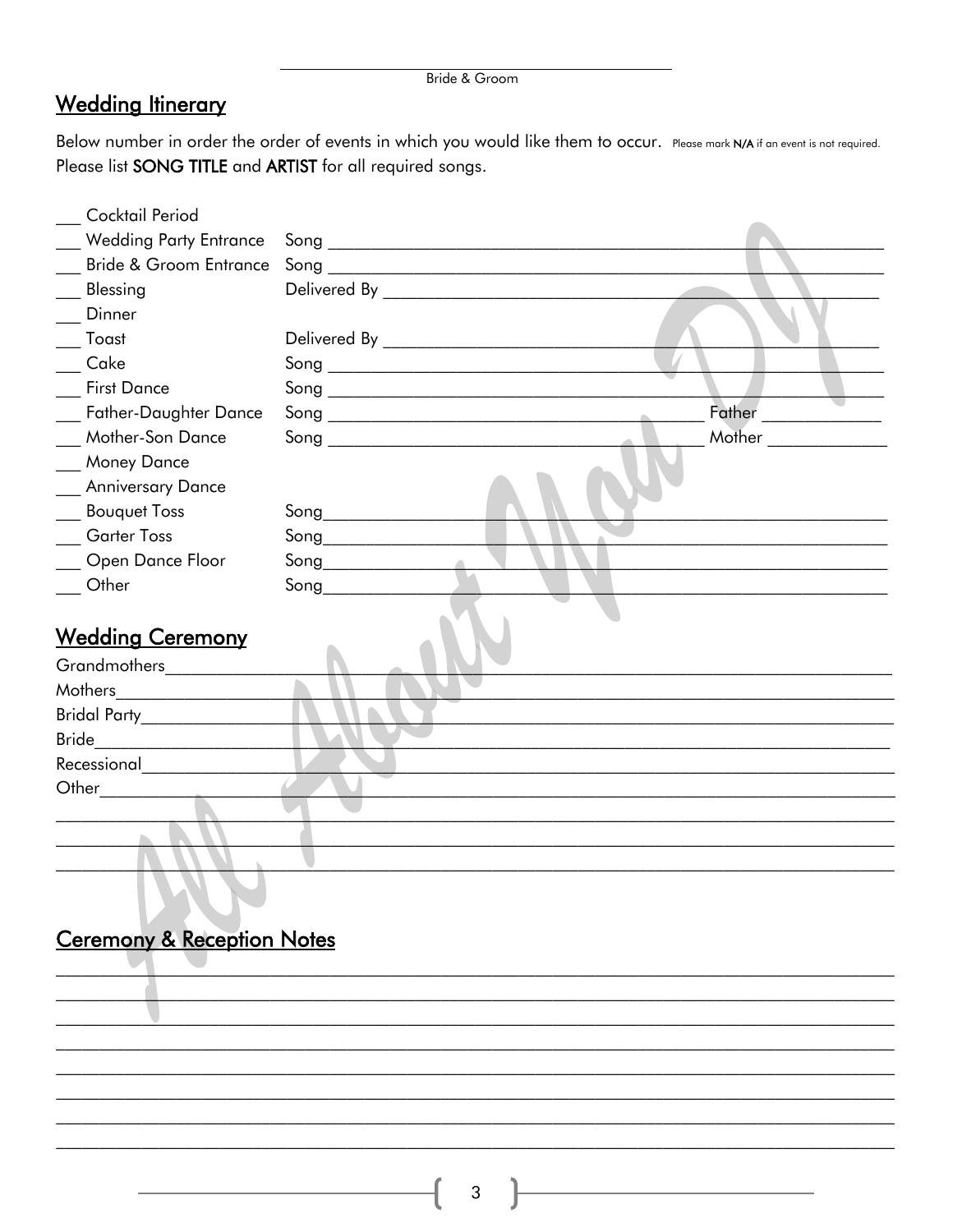|  |  | Bride & Groom |
|--|--|---------------|
|--|--|---------------|

## **Wedding Itinerary**

Below number in order the order of events in which you would like them to occur. Please mark N/A if an event is not required. Please list SONG TITLE and ARTIST for all required songs.

| Cocktail Period                   |                                                          |        |
|-----------------------------------|----------------------------------------------------------|--------|
| <b>Wedding Party Entrance</b>     |                                                          |        |
| <b>Bride &amp; Groom Entrance</b> |                                                          |        |
| Blessing                          |                                                          |        |
| Dinner                            |                                                          |        |
| Toast                             |                                                          |        |
| Cake                              |                                                          |        |
| <b>First Dance</b>                |                                                          |        |
| <b>Father-Daughter Dance</b>      | $\sim$                                                   | Father |
| Mother-Son Dance                  |                                                          | Mother |
| <b>Money Dance</b>                |                                                          |        |
| <b>Anniversary Dance</b>          |                                                          |        |
| <b>Bouquet Toss</b>               | $\mathsf{Song} \_\_\_\_\_\_\_\_\_\$                      |        |
| <b>Garter Toss</b>                |                                                          |        |
| Open Dance Floor                  | $\mathsf{Song} \_\_\_\_\_\_\_\_\_\_\_\_\_\_\_\_\_\_\_\_$ |        |
| Other                             | $\mathsf{Song} \_\_$                                     |        |
| <b>Wedding Ceremony</b>           |                                                          |        |
| Grandmothers _______              |                                                          |        |
| Mothers                           |                                                          |        |
| Bridal Party__________________    |                                                          |        |
| Bride                             |                                                          |        |
| Recessional                       |                                                          |        |
| Other                             |                                                          |        |
|                                   |                                                          |        |
|                                   |                                                          |        |
|                                   |                                                          |        |

# Ceremony & Reception Notes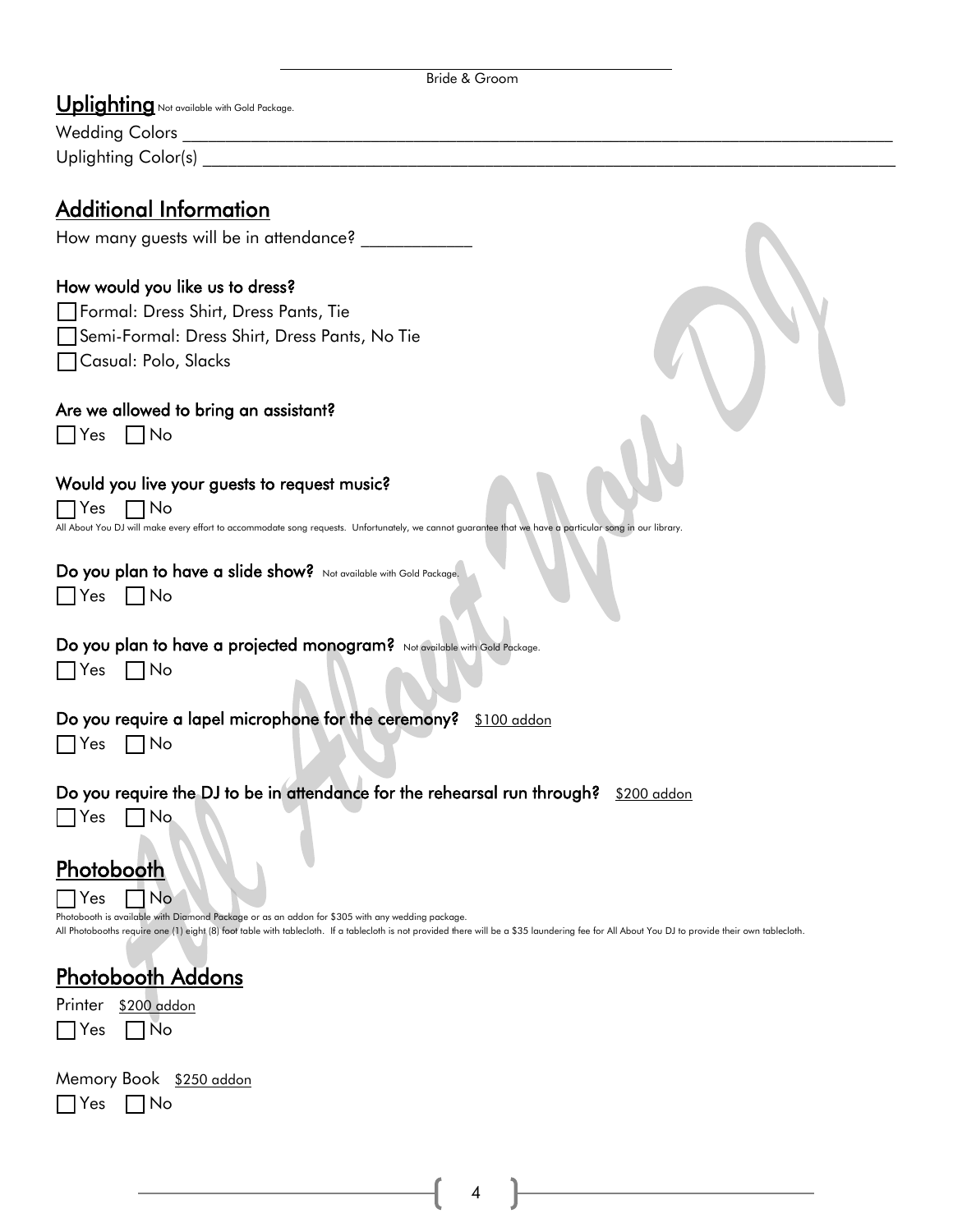| Bride & Groom |
|---------------|
|               |

Uplighting Not available with Gold Package. Wedding Colors

Uplighting Color(s)

### Additional Information

How many guests will be in attendance? \_\_\_\_\_\_\_\_\_\_\_\_\_

#### How would you like us to dress?

Formal: Dress Shirt, Dress Pants, Tie \_ Semi-Formal: Dress Shirt, Dress Pants, No Tie □ Casual: Polo, Slacks

#### Are we allowed to bring an assistant?

 $\Box$  Yes  $\Box$  No

#### Would you live your guests to request music?

 $\Box$  Yes  $\Box$  No All About You DJ will make every effort to accommodate song requests. Unfortunately, we cannot guarantee that we have a particular song in our library.

#### Do you plan to have a slide show? Not available with Gold Package.

|  |  | ◠ |
|--|--|---|
|--|--|---|

#### Do you plan to have a projected monogram? Not available with Gold Package.

|--|--|

 $No$ 

#### Do you require a lapel microphone for the ceremony? \$100 addon

 $\Box$  Yes  $\Box$  No

Do you require the DJ to be in attendance for the rehearsal run through? \$200 addon

 $\Box$  Yes  $\Box$  No

#### **Photobooth**  $\sqcap$  Yes  $\sqcap$  No

Photobooth is available with Diamond Package or as an addon for \$305 with any wedding package. All Photobooths require one (1) eight (8) foot table with tablecloth. If a tablecloth is not provided there will be a \$35 laundering fee for All About You DJ to provide their own tablecloth.

## Photobooth Addons

| Printer    | \$200 addon |
|------------|-------------|
| $\Box$ Yes | $\Box$ No   |

| Memory Book \$250 addon |  |  |
|-------------------------|--|--|
| $\Box$ Yes $\Box$ No    |  |  |

4